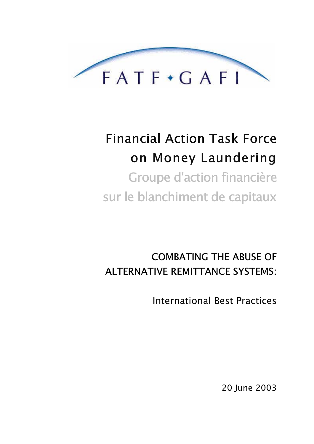

# **Financial Action Task Force** on Money Laundering **Groupe d'action financière** sur le blanchiment de capitaux

# **COMBATING THE ABUSE OF ALTERNATIVE REMITTANCE SYSTEMS:**

**International Best Practices** 

20 June 2003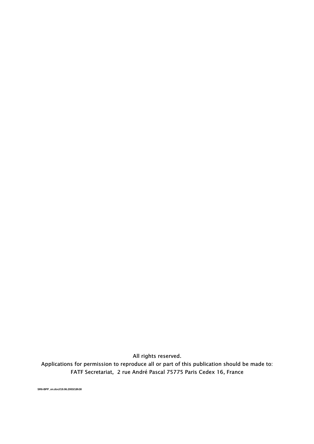All rights reserved.

Applications for permission to reproduce all or part of this publication should be made to: FATF Secretariat, 2 rue André Pascal 75775 Paris Cedex 16, France

SR6-BPP\_en.doc//19.06.2003/18h30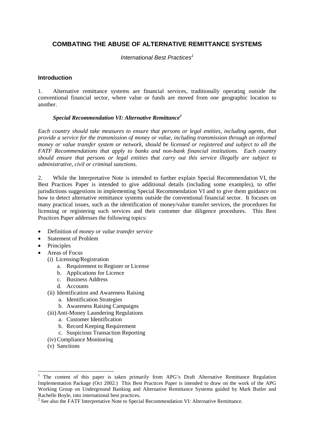# **COMBATING THE ABUSE OF ALTERNATIVE REMITTANCE SYSTEMS**

International Best Practices<sup>1</sup>

#### **Introduction**

1. Alternative remittance systems are financial services, traditionally operating outside the conventional financial sector, where value or funds are moved from one geographic location to another.

# *Special Recommendation VI: Alternative Remittance2*

*Each country should take measures to ensure that persons or legal entities, including agents, that provide a service for the transmission of money or value, including transmission through an informal money or value transfer system or network, should be licensed or registered and subject to all the FATF Recommendations that apply to banks and non-bank financial institutions. Each country should ensure that persons or legal entities that carry out this service illegally are subject to administrative, civil or criminal sanctions.* 

2. While the Interpretative Note is intended to further explain Special Recommendation VI, the Best Practices Paper is intended to give additional details (including some examples), to offer jurisdictions suggestions in implementing Special Recommendation VI and to give them guidance on how to detect alternative remittance systems outside the conventional financial sector. It focuses on many practical issues, such as the identification of money/value transfer services, the procedures for licensing or registering such services and their customer due diligence procedures. This Best Practices Paper addresses the following topics:

- Definition of *money or value transfer service*
- Statement of Problem
- Principles
- Areas of Focus
	- (i) Licensing/Registration
		- a. Requirement to Register or License
		- b. Applications for Licence
		- c. Business Address
		- d. Accounts
	- (ii) Identification and Awareness Raising
		- a. Identification Strategies
		- b. Awareness Raising Campaigns
	- (iii) Anti-Money Laundering Regulations
		- a. Customer Identification
		- b. Record Keeping Requirement
		- c. Suspicious Transaction Reporting
	- (iv) Compliance Monitoring
	- (v) Sanctions

<sup>&</sup>lt;sup>1</sup> The content of this paper is taken primarily from APG's Draft Alternative Remittance Regulation Implementation Package (Oct 2002.) This Best Practices Paper is intended to draw on the work of the APG Working Group on Underground Banking and Alternative Remittance Systems guided by Mark Butler and Rachelle Boyle, into international best practices.

 $2^2$  See also the FATF Interpretative Note to Special Recommendation VI: Alternative Remittance.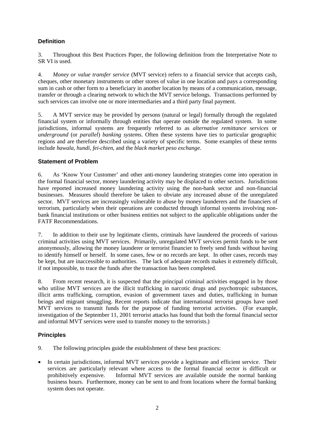# **Definition**

3. Throughout this Best Practices Paper, the following definition from the Interpretative Note to SR VI is used.

4. *Money or value transfer service* (MVT service) refers to a financial service that accepts cash, cheques, other monetary instruments or other stores of value in one location and pays a corresponding sum in cash or other form to a beneficiary in another location by means of a communication, message, transfer or through a clearing network to which the MVT service belongs. Transactions performed by such services can involve one or more intermediaries and a third party final payment.

5. A MVT service may be provided by persons (natural or legal) formally through the regulated financial system or informally through entities that operate outside the regulated system. In some jurisdictions, informal systems are frequently referred to as *alternative remittance services* or *underground* (or *parallel*) *banking systems.* Often these systems have ties to particular geographic regions and are therefore described using a variety of specific terms. Some examples of these terms include *hawala, hundi, fei-chien,* and the *black market peso exchange.* 

# **Statement of Problem**

6. As 'Know Your Customer' and other anti-money laundering strategies come into operation in the formal financial sector, money laundering activity may be displaced to other sectors. Jurisdictions have reported increased money laundering activity using the non-bank sector and non-financial businesses. Measures should therefore be taken to obviate any increased abuse of the unregulated sector. MVT services are increasingly vulnerable to abuse by money launderers and the financiers of terrorism, particularly when their operations are conducted through informal systems involving nonbank financial institutions or other business entities not subject to the applicable obligations under the FATF Recommendations.

7. In addition to their use by legitimate clients, criminals have laundered the proceeds of various criminal activities using MVT services. Primarily, unregulated MVT services permit funds to be sent anonymously, allowing the money launderer or terrorist financier to freely send funds without having to identify himself or herself. In some cases, few or no records are kept. In other cases, records may be kept, but are inaccessible to authorities. The lack of adequate records makes it extremely difficult, if not impossible, to trace the funds after the transaction has been completed.

8. From recent research, it is suspected that the principal criminal activities engaged in by those who utilise MVT services are the illicit trafficking in narcotic drugs and psychotropic substances, illicit arms trafficking, corruption, evasion of government taxes and duties, trafficking in human beings and migrant smuggling. Recent reports indicate that international terrorist groups have used MVT services to transmit funds for the purpose of funding terrorist activities. (For example, investigation of the September 11, 2001 terrorist attacks has found that both the formal financial sector and informal MVT services were used to transfer money to the terrorists.)

# **Principles**

- 9. The following principles guide the establishment of these best practices:
- In certain jurisdictions, informal MVT services provide a legitimate and efficient service. Their services are particularly relevant where access to the formal financial sector is difficult or prohibitively expensive. Informal MVT services are available outside the normal banking business hours. Furthermore, money can be sent to and from locations where the formal banking system does not operate.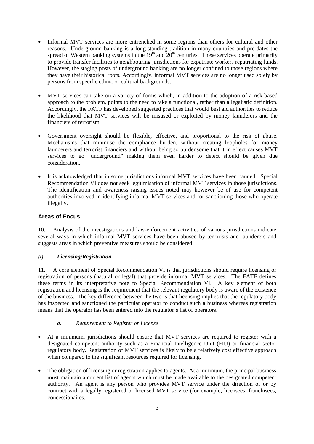- Informal MVT services are more entrenched in some regions than others for cultural and other reasons. Underground banking is a long-standing tradition in many countries and pre-dates the spread of Western banking systems in the  $19<sup>th</sup>$  and  $20<sup>th</sup>$  centuries. These services operate primarily to provide transfer facilities to neighbouring jurisdictions for expatriate workers repatriating funds. However, the staging posts of underground banking are no longer confined to those regions where they have their historical roots. Accordingly, informal MVT services are no longer used solely by persons from specific ethnic or cultural backgrounds.
- MVT services can take on a variety of forms which, in addition to the adoption of a risk-based approach to the problem, points to the need to take a functional, rather than a legalistic definition. Accordingly, the FATF has developed suggested practices that would best aid authorities to reduce the likelihood that MVT services will be misused or exploited by money launderers and the financiers of terrorism.
- Government oversight should be flexible, effective, and proportional to the risk of abuse. Mechanisms that minimise the compliance burden, without creating loopholes for money launderers and terrorist financiers and without being so burdensome that it in effect causes MVT services to go "underground" making them even harder to detect should be given due consideration.
- It is acknowledged that in some jurisdictions informal MVT services have been banned. Special Recommendation VI does not seek legitimisation of informal MVT services in those jurisdictions. The identification and awareness raising issues noted may however be of use for competent authorities involved in identifying informal MVT services and for sanctioning those who operate illegally.

# **Areas of Focus**

10. Analysis of the investigations and law-enforcement activities of various jurisdictions indicate several ways in which informal MVT services have been abused by terrorists and launderers and suggests areas in which preventive measures should be considered.

#### *(i) Licensing/Registration*

11. A core element of Special Recommendation VI is that jurisdictions should require licensing or registration of persons (natural or legal) that provide informal MVT services. The FATF defines these terms in its interpretative note to Special Recommendation VI. A key element of both registration and licensing is the requirement that the relevant regulatory body is aware of the existence of the business. The key difference between the two is that licensing implies that the regulatory body has inspected and sanctioned the particular operator to conduct such a business whereas registration means that the operator has been entered into the regulator's list of operators.

#### *a. Requirement to Register or License*

- At a minimum, jurisdictions should ensure that MVT services are required to register with a designated competent authority such as a Financial Intelligence Unit (FIU) or financial sector regulatory body. Registration of MVT services is likely to be a relatively cost effective approach when compared to the significant resources required for licensing.
- The obligation of licensing or registration applies to agents. At a minimum, the principal business must maintain a current list of agents which must be made available to the designated competent authority. An agent is any person who provides MVT service under the direction of or by contract with a legally registered or licensed MVT service (for example, licensees, franchisees, concessionaires.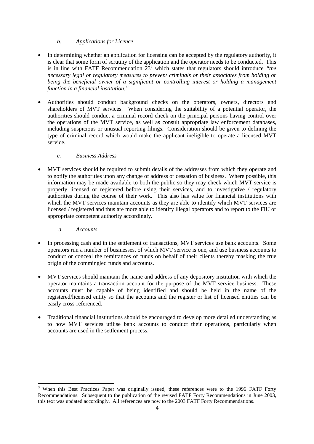#### *b. Applications for Licence*

- In determining whether an application for licensing can be accepted by the regulatory authority, it is clear that some form of scrutiny of the application and the operator needs to be conducted. This is in line with FATF Recommendation  $23<sup>3</sup>$  which states that regulators should introduce "the *necessary legal or regulatory measures to prevent criminals or their associates from holding or being the beneficial owner of a significant or controlling interest or holding a management function in a financial institution."*
- Authorities should conduct background checks on the operators, owners, directors and shareholders of MVT services. When considering the suitability of a potential operator, the authorities should conduct a criminal record check on the principal persons having control over the operations of the MVT service, as well as consult appropriate law enforcement databases, including suspicious or unusual reporting filings. Consideration should be given to defining the type of criminal record which would make the applicant ineligible to operate a licensed MVT service.

#### *c. Business Address*

 MVT services should be required to submit details of the addresses from which they operate and to notify the authorities upon any change of address or cessation of business. Where possible, this information may be made available to both the public so they may check which MVT service is properly licensed or registered before using their services, and to investigative / regulatory authorities during the course of their work. This also has value for financial institutions with which the MVT services maintain accounts as they are able to identify which MVT services are licensed / registered and thus are more able to identify illegal operators and to report to the FIU or appropriate competent authority accordingly.

#### *d. Accounts*

 $\overline{a}$ 

- In processing cash and in the settlement of transactions, MVT services use bank accounts. Some operators run a number of businesses, of which MVT service is one, and use business accounts to conduct or conceal the remittances of funds on behalf of their clients thereby masking the true origin of the commingled funds and accounts.
- MVT services should maintain the name and address of any depository institution with which the operator maintains a transaction account for the purpose of the MVT service business. These accounts must be capable of being identified and should be held in the name of the registered/licensed entity so that the accounts and the register or list of licensed entities can be easily cross-referenced.
- Traditional financial institutions should be encouraged to develop more detailed understanding as to how MVT services utilise bank accounts to conduct their operations, particularly when accounts are used in the settlement process.

<sup>&</sup>lt;sup>3</sup> When this Best Practices Paper was originally issued, these references were to the 1996 FATF Forty Recommendations. Subsequent to the publication of the revised FATF Forty Recommendations in June 2003, this text was updated accordingly. All references are now to the 2003 FATF Forty Recommendations.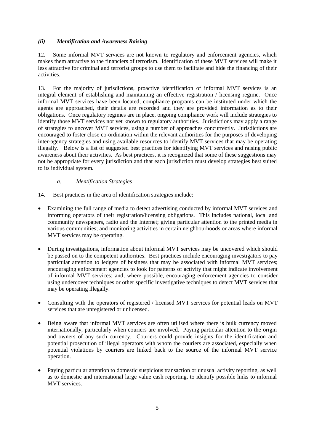#### *(ii) Identification and Awareness Raising*

12. Some informal MVT services are not known to regulatory and enforcement agencies, which makes them attractive to the financiers of terrorism. Identification of these MVT services will make it less attractive for criminal and terrorist groups to use them to facilitate and hide the financing of their activities.

13. For the majority of jurisdictions, proactive identification of informal MVT services is an integral element of establishing and maintaining an effective registration / licensing regime. Once informal MVT services have been located, compliance programs can be instituted under which the agents are approached, their details are recorded and they are provided information as to their obligations. Once regulatory regimes are in place, ongoing compliance work will include strategies to identify those MVT services not yet known to regulatory authorities. Jurisdictions may apply a range of strategies to uncover MVT services, using a number of approaches concurrently. Jurisdictions are encouraged to foster close co-ordination within the relevant authorities for the purposes of developing inter-agency strategies and using available resources to identify MVT services that may be operating illegally. Below is a list of suggested best practices for identifying MVT services and raising public awareness about their activities. As best practices, it is recognized that some of these suggestions may not be appropriate for every jurisdiction and that each jurisdiction must develop strategies best suited to its individual system.

#### *a. Identification Strategies*

- 14. Best practices in the area of identification strategies include:
- Examining the full range of media to detect advertising conducted by informal MVT services and informing operators of their registration/licensing obligations. This includes national, local and community newspapers, radio and the Internet; giving particular attention to the printed media in various communities; and monitoring activities in certain neighbourhoods or areas where informal MVT services may be operating.
- During investigations, information about informal MVT services may be uncovered which should be passed on to the competent authorities. Best practices include encouraging investigators to pay particular attention to ledgers of business that may be associated with informal MVT services; encouraging enforcement agencies to look for patterns of activity that might indicate involvement of informal MVT services; and, where possible, encouraging enforcement agencies to consider using undercover techniques or other specific investigative techniques to detect MVT services that may be operating illegally.
- Consulting with the operators of registered / licensed MVT services for potential leads on MVT services that are unregistered or unlicensed.
- Being aware that informal MVT services are often utilised where there is bulk currency moved internationally, particularly when couriers are involved. Paying particular attention to the origin and owners of any such currency. Couriers could provide insights for the identification and potential prosecution of illegal operators with whom the couriers are associated, especially when potential violations by couriers are linked back to the source of the informal MVT service operation.
- Paying particular attention to domestic suspicious transaction or unusual activity reporting, as well as to domestic and international large value cash reporting, to identify possible links to informal MVT services.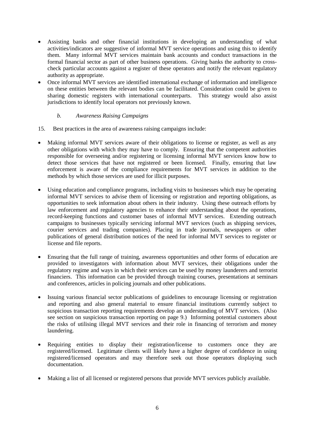- Assisting banks and other financial institutions in developing an understanding of what activities/indicators are suggestive of informal MVT service operations and using this to identify them. Many informal MVT services maintain bank accounts and conduct transactions in the formal financial sector as part of other business operations. Giving banks the authority to crosscheck particular accounts against a register of these operators and notify the relevant regulatory authority as appropriate.
- Once informal MVT services are identified international exchange of information and intelligence on these entities between the relevant bodies can be facilitated. Consideration could be given to sharing domestic registers with international counterparts. This strategy would also assist jurisdictions to identify local operators not previously known.
	- *b. Awareness Raising Campaigns*
- 15. Best practices in the area of awareness raising campaigns include:
- Making informal MVT services aware of their obligations to license or register, as well as any other obligations with which they may have to comply. Ensuring that the competent authorities responsible for overseeing and/or registering or licensing informal MVT services know how to detect those services that have not registered or been licensed. Finally, ensuring that law enforcement is aware of the compliance requirements for MVT services in addition to the methods by which those services are used for illicit purposes.
- Using education and compliance programs, including visits to businesses which may be operating informal MVT services to advise them of licensing or registration and reporting obligations, as opportunities to seek information about others in their industry. Using these outreach efforts by law enforcement and regulatory agencies to enhance their understanding about the operations, record-keeping functions and customer bases of informal MVT services. Extending outreach campaigns to businesses typically servicing informal MVT services (such as shipping services, courier services and trading companies). Placing in trade journals, newspapers or other publications of general distribution notices of the need for informal MVT services to register or license and file reports.
- Ensuring that the full range of training, awareness opportunities and other forms of education are provided to investigators with information about MVT services, their obligations under the regulatory regime and ways in which their services can be used by money launderers and terrorist financiers. This information can be provided through training courses, presentations at seminars and conferences, articles in policing journals and other publications.
- Issuing various financial sector publications of guidelines to encourage licensing or registration and reporting and also general material to ensure financial institutions currently subject to suspicious transaction reporting requirements develop an understanding of MVT services. (Also see section on suspicious transaction reporting on page 9.) Informing potential customers about the risks of utilising illegal MVT services and their role in financing of terrorism and money laundering.
- Requiring entities to display their registration/license to customers once they are registered/licensed. Legitimate clients will likely have a higher degree of confidence in using registered/licensed operators and may therefore seek out those operators displaying such documentation.
- Making a list of all licensed or registered persons that provide MVT services publicly available.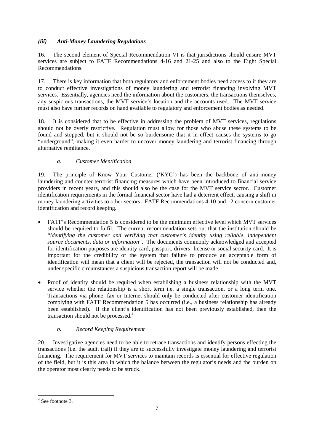#### *(iii) Anti-Money Laundering Regulations*

16. The second element of Special Recommendation VI is that jurisdictions should ensure MVT services are subject to FATF Recommendations 4-16 and 21-25 and also to the Eight Special Recommendations.

17. There is key information that both regulatory and enforcement bodies need access to if they are to conduct effective investigations of money laundering and terrorist financing involving MVT services. Essentially, agencies need the information about the customers, the transactions themselves, any suspicious transactions, the MVT service's location and the accounts used. The MVT service must also have further records on hand available to regulatory and enforcement bodies as needed.

18. It is considered that to be effective in addressing the problem of MVT services, regulations should not be overly restrictive. Regulation must allow for those who abuse these systems to be found and stopped, but it should not be so burdensome that it in effect causes the systems to go "underground", making it even harder to uncover money laundering and terrorist financing through alternative remittance.

# *a. Customer Identification*

19. The principle of Know Your Customer ('KYC') has been the backbone of anti-money laundering and counter terrorist financing measures which have been introduced to financial service providers in recent years, and this should also be the case for the MVT service sector. Customer identification requirements in the formal financial sector have had a deterrent effect, causing a shift in money laundering activities to other sectors. FATF Recommendations 4-10 and 12 concern customer identification and record keeping.

- FATF's Recommendation 5 is considered to be the minimum effective level which MVT services should be required to fulfil. The current recommendation sets out that the institution should be "*identifying the customer and verifying that customer's identity using reliable, independent source documents, data or information*". The documents commonly acknowledged and accepted for identification purposes are identity card, passport, drivers' license or social security card. It is important for the credibility of the system that failure to produce an acceptable form of identification will mean that a client will be rejected, the transaction will not be conducted and, under specific circumstances a suspicious transaction report will be made.
- Proof of identity should be required when establishing a business relationship with the MVT service whether the relationship is a short term i.e. a single transaction, or a long term one. Transactions via phone, fax or Internet should only be conducted after customer identification complying with FATF Recommendation 5 has occurred (i.e., a business relationship has already been established). If the client's identification has not been previously established, then the transaction should not be processed.<sup>4</sup>

# *b. Record Keeping Requirement*

20. Investigative agencies need to be able to retrace transactions and identify persons effecting the transactions (i.e. the audit trail) if they are to successfully investigate money laundering and terrorist financing. The requirement for MVT services to maintain records is essential for effective regulation of the field, but it is this area in which the balance between the regulator's needs and the burden on the operator most clearly needs to be struck.

 4 See footnote 3.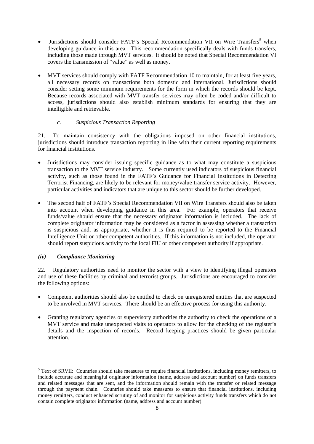- Jurisdictions should consider FATF's Special Recommendation VII on Wire Transfers<sup>5</sup> when developing guidance in this area. This recommendation specifically deals with funds transfers, including those made through MVT services. It should be noted that Special Recommendation VI covers the transmission of "value" as well as money.
- MVT services should comply with FATF Recommendation 10 to maintain, for at least five years, all necessary records on transactions both domestic and international. Jurisdictions should consider setting some minimum requirements for the form in which the records should be kept. Because records associated with MVT transfer services may often be coded and/or difficult to access, jurisdictions should also establish minimum standards for ensuring that they are intelligible and retrievable.

#### *c. Suspicious Transaction Reporting*

21. To maintain consistency with the obligations imposed on other financial institutions, jurisdictions should introduce transaction reporting in line with their current reporting requirements for financial institutions.

- Jurisdictions may consider issuing specific guidance as to what may constitute a suspicious transaction to the MVT service industry. Some currently used indicators of suspicious financial activity, such as those found in the FATF's Guidance for Financial Institutions in Detecting Terrorist Financing, are likely to be relevant for money/value transfer service activity. However, particular activities and indicators that are unique to this sector should be further developed.
- The second half of FATF's Special Recommendation VII on Wire Transfers should also be taken into account when developing guidance in this area. For example, operators that receive funds/value should ensure that the necessary originator information is included. The lack of complete originator information may be considered as a factor in assessing whether a transaction is suspicious and, as appropriate, whether it is thus required to be reported to the Financial Intelligence Unit or other competent authorities. If this information is not included, the operator should report suspicious activity to the local FIU or other competent authority if appropriate.

#### *(iv) Compliance Monitoring*

22. Regulatory authorities need to monitor the sector with a view to identifying illegal operators and use of these facilities by criminal and terrorist groups. Jurisdictions are encouraged to consider the following options:

- Competent authorities should also be entitled to check on unregistered entities that are suspected to be involved in MVT services. There should be an effective process for using this authority.
- Granting regulatory agencies or supervisory authorities the authority to check the operations of a MVT service and make unexpected visits to operators to allow for the checking of the register's details and the inspection of records. Record keeping practices should be given particular attention.

<sup>&</sup>lt;sup>5</sup> Text of SRVII: Countries should take measures to require financial institutions, including money remitters, to include accurate and meaningful originator information (name, address and account number) on funds transfers and related messages that are sent, and the information should remain with the transfer or related message through the payment chain. Countries should take measures to ensure that financial institutions, including money remitters, conduct enhanced scrutiny of and monitor for suspicious activity funds transfers which do not contain complete originator information (name, address and account number).